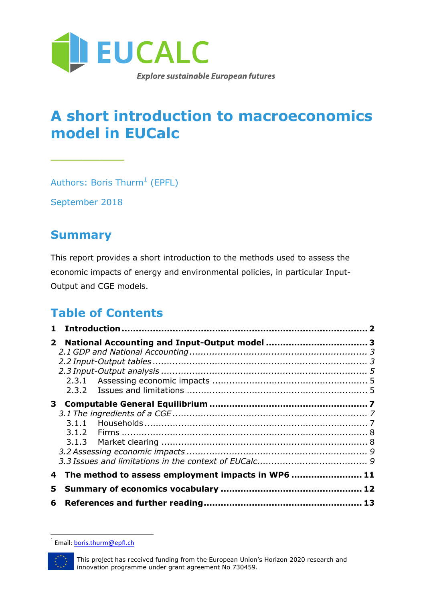

### **A short introduction to macroeconomics model in EUCalc**

Authors: Boris Thurm $^1$  (EPFL)

September 2018

\_\_\_\_\_\_\_\_\_

#### **Summary**

This report provides a short introduction to the methods used to assess the economic impacts of energy and environmental policies, in particular Input-Output and CGE models.

#### **Table of Contents**

|    | 4 The method to assess employment impacts in WP6  11 |  |
|----|------------------------------------------------------|--|
| 5. |                                                      |  |
|    |                                                      |  |

<sup>&</sup>lt;u>.</u><br><sup>1</sup> Email: <u>boris.thurm@epfl.ch</u>

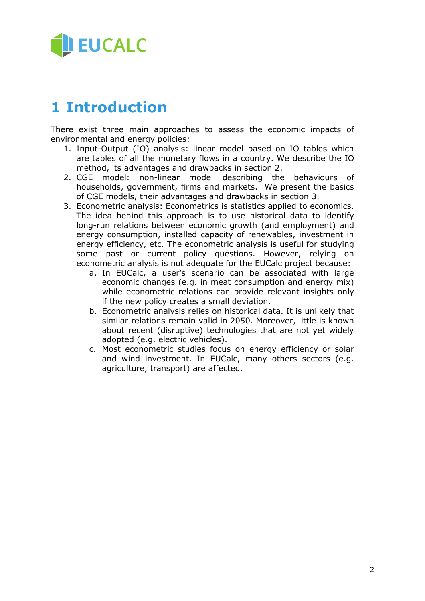

### <span id="page-1-0"></span>**1 Introduction**

There exist three main approaches to assess the economic impacts of environmental and energy policies:

- 1. Input-Output (IO) analysis: linear model based on IO tables which are tables of all the monetary flows in a country. We describe the IO method, its advantages and drawbacks in section 2.
- 2. CGE model: non-linear model describing the behaviours of households, government, firms and markets. We present the basics of CGE models, their advantages and drawbacks in section 3.
- 3. Econometric analysis: Econometrics is statistics applied to economics. The idea behind this approach is to use historical data to identify long-run relations between economic growth (and employment) and energy consumption, installed capacity of renewables, investment in energy efficiency, etc. The econometric analysis is useful for studying some past or current policy questions. However, relying on econometric analysis is not adequate for the EUCalc project because:
	- a. In EUCalc, a user's scenario can be associated with large economic changes (e.g. in meat consumption and energy mix) while econometric relations can provide relevant insights only if the new policy creates a small deviation.
	- b. Econometric analysis relies on historical data. It is unlikely that similar relations remain valid in 2050. Moreover, little is known about recent (disruptive) technologies that are not yet widely adopted (e.g. electric vehicles).
	- c. Most econometric studies focus on energy efficiency or solar and wind investment. In EUCalc, many others sectors (e.g. agriculture, transport) are affected.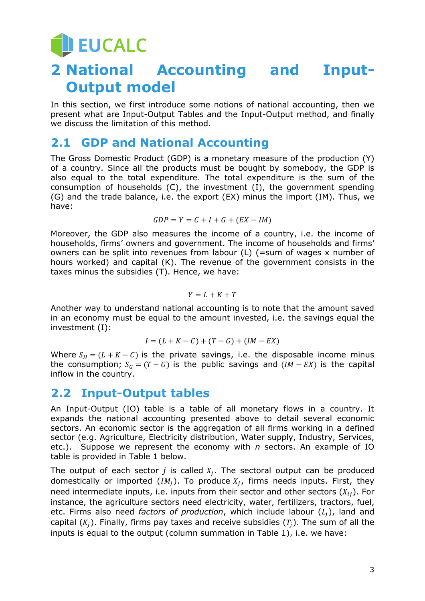**JEUCALC** 

## <span id="page-2-0"></span>**2 National Accounting and Input-Output model**

In this section, we first introduce some notions of national accounting, then we present what are Input-Output Tables and the Input-Output method, and finally we discuss the limitation of this method.

#### <span id="page-2-1"></span>**2.1 GDP and National Accounting**

The Gross Domestic Product (GDP) is a monetary measure of the production (Y) of a country. Since all the products must be bought by somebody, the GDP is also equal to the total expenditure. The total expenditure is the sum of the consumption of households (C), the investment (I), the government spending (G) and the trade balance, i.e. the export (EX) minus the import (IM). Thus, we have:

$$
GDP = Y = C + I + G + (EX - IM)
$$

Moreover, the GDP also measures the income of a country, i.e. the income of households, firms' owners and government. The income of households and firms' owners can be split into revenues from labour (L) (=sum of wages x number of hours worked) and capital (K). The revenue of the government consists in the taxes minus the subsidies (T). Hence, we have:

$$
Y = L + K + T
$$

Another way to understand national accounting is to note that the amount saved in an economy must be equal to the amount invested, i.e. the savings equal the investment (I):

$$
I = (L + K - C) + (T - G) + (IM - EX)
$$

Where  $S_H = (L + K - C)$  is the private savings, i.e. the disposable income minus the consumption;  $S_G = (T - G)$  is the public savings and  $(IM - EX)$  is the capital inflow in the country.

#### <span id="page-2-2"></span>**2.2 Input-Output tables**

An Input-Output (IO) table is a table of all monetary flows in a country. It expands the national accounting presented above to detail several economic sectors. An economic sector is the aggregation of all firms working in a defined sector (e.g. Agriculture, Electricity distribution, Water supply, Industry, Services, etc.). Suppose we represent the economy with *n* sectors. An example of IO table is provided in Table 1 below.

The output of each sector  $j$  is called  $X_j$ . The sectoral output can be produced domestically or imported (*IM<sub>j</sub>*). To produce  $X_j$ , firms needs inputs. First, they need intermediate inputs, i.e. inputs from their sector and other sectors  $(X_{ii})$ . For instance, the agriculture sectors need electricity, water, fertilizers, tractors, fuel, etc. Firms also need *factors of production*, which include labour  $(L_i)$ , land and capital  $(K_i)$ . Finally, firms pay taxes and receive subsidies  $(T_i)$ . The sum of all the inputs is equal to the output (column summation in Table 1), i.e. we have: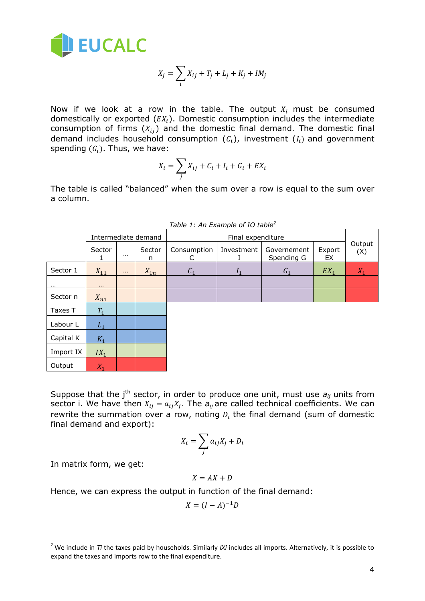

$$
X_j = \sum_i X_{ij} + T_j + L_j + K_j + IM_j
$$

Now if we look at a row in the table. The output  $X_i$  must be consumed domestically or exported  $(EX<sub>i</sub>)$ . Domestic consumption includes the intermediate consumption of firms  $(X_{ij})$  and the domestic final demand. The domestic final demand includes household consumption  $(C_i)$ , investment  $(I_i)$  and government spending  $(G_i)$ . Thus, we have:

$$
X_i = \sum_j X_{ij} + C_i + I_i + G_i + EX_i
$$

The table is called "balanced" when the sum over a row is equal to the sum over a column.

|           | Intermediate demand |          |             | Final expenditure |                           |                           |              |               |
|-----------|---------------------|----------|-------------|-------------------|---------------------------|---------------------------|--------------|---------------|
|           | Sector              | $\cdots$ | Sector<br>n | Consumption<br>C  | Investment                | Governement<br>Spending G | Export<br>EX | Output<br>(X) |
| Sector 1  | $X_{11}$            | $\cdots$ | $X_{1n}$    | C <sub>1</sub>    | $\mathbf{I}$ <sub>1</sub> | G <sub>1</sub>            | $EX_1$       | $X_1$         |
| $\cdots$  | $\cdots$            |          |             |                   |                           |                           |              |               |
| Sector n  | $X_{n1}$            |          |             |                   |                           |                           |              |               |
| Taxes T   | $T_1$               |          |             |                   |                           |                           |              |               |
| Labour L  | $L_1$               |          |             |                   |                           |                           |              |               |
| Capital K | $K_1$               |          |             |                   |                           |                           |              |               |
| Import IX | $IX_1$              |          |             |                   |                           |                           |              |               |
| Output    | $X_1$               |          |             |                   |                           |                           |              |               |

*Table 1: An Example of IO table<sup>2</sup>*

Suppose that the j<sup>th</sup> sector, in order to produce one unit, must use  $a_{ij}$  units from sector i. We have then  $X_{ij} = a_{ij}X_j$ . The  $a_{ij}$  are called technical coefficients. We can rewrite the summation over a row, noting  $D_i$  the final demand (sum of domestic final demand and export):

$$
X_i = \sum_j a_{ij} X_j + D_i
$$

In matrix form, we get:

-

$$
X = AX + D
$$

Hence, we can express the output in function of the final demand:

$$
X = (I - A)^{-1}D
$$

<sup>2</sup> We include in *Ti* the taxes paid by households. Similarly *IXi* includes all imports. Alternatively, it is possible to expand the taxes and imports row to the final expenditure.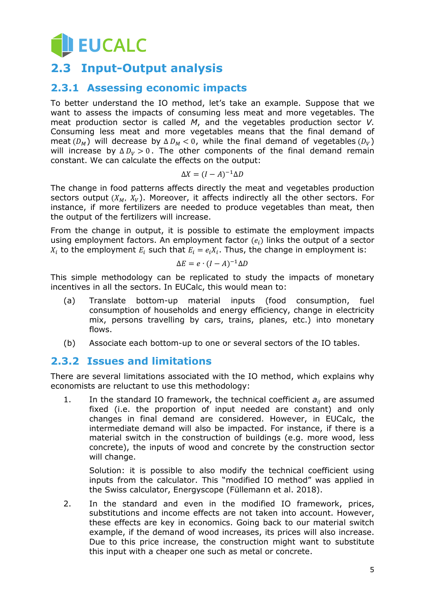## **JEUCALC**

#### <span id="page-4-0"></span>**2.3 Input-Output analysis**

#### <span id="page-4-1"></span>**2.3.1 Assessing economic impacts**

To better understand the IO method, let's take an example. Suppose that we want to assess the impacts of consuming less meat and more vegetables. The meat production sector is called *M*, and the vegetables production sector *V.* Consuming less meat and more vegetables means that the final demand of meat  $(D_M)$  will decrease by  $\Delta D_M < 0$ , while the final demand of vegetables  $(D_V)$ will increase by  $\Delta D_V > 0$ . The other components of the final demand remain constant. We can calculate the effects on the output:

$$
\Delta X = (I - A)^{-1} \Delta D
$$

The change in food patterns affects directly the meat and vegetables production sectors output  $(X_M, X_V)$ . Moreover, it affects indirectly all the other sectors. For instance, if more fertilizers are needed to produce vegetables than meat, then the output of the fertilizers will increase.

From the change in output, it is possible to estimate the employment impacts using employment factors. An employment factor  $(e_i)$  links the output of a sector  $X_i$  to the employment  $E_i$  such that  $E_i = e_i X_i$ . Thus, the change in employment is:

$$
\Delta E = e \cdot (I - A)^{-1} \Delta D
$$

This simple methodology can be replicated to study the impacts of monetary incentives in all the sectors. In EUCalc, this would mean to:

- (a) Translate bottom-up material inputs (food consumption, fuel consumption of households and energy efficiency, change in electricity mix, persons travelling by cars, trains, planes, etc.) into monetary flows.
- (b) Associate each bottom-up to one or several sectors of the IO tables.

#### <span id="page-4-2"></span>**2.3.2 Issues and limitations**

There are several limitations associated with the IO method, which explains why economists are reluctant to use this methodology:

1. In the standard IO framework, the technical coefficient  $a_{ii}$  are assumed fixed (i.e. the proportion of input needed are constant) and only changes in final demand are considered. However, in EUCalc, the intermediate demand will also be impacted. For instance, if there is a material switch in the construction of buildings (e.g. more wood, less concrete), the inputs of wood and concrete by the construction sector will change.

Solution: it is possible to also modify the technical coefficient using inputs from the calculator. This "modified IO method" was applied in the Swiss calculator, Energyscope (Füllemann et al. 2018).

2. In the standard and even in the modified IO framework, prices, substitutions and income effects are not taken into account. However, these effects are key in economics. Going back to our material switch example, if the demand of wood increases, its prices will also increase. Due to this price increase, the construction might want to substitute this input with a cheaper one such as metal or concrete.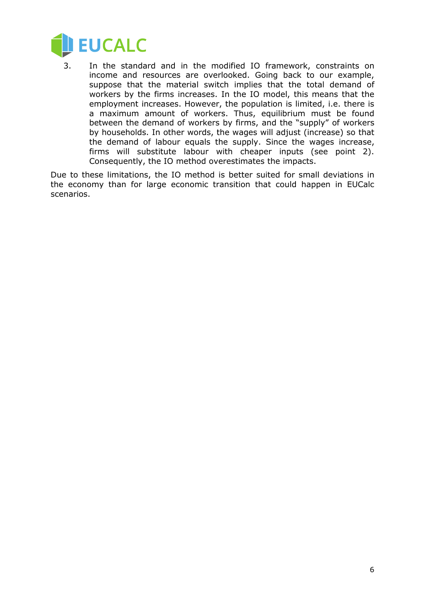

3. In the standard and in the modified IO framework, constraints on income and resources are overlooked. Going back to our example, suppose that the material switch implies that the total demand of workers by the firms increases. In the IO model, this means that the employment increases. However, the population is limited, i.e. there is a maximum amount of workers. Thus, equilibrium must be found between the demand of workers by firms, and the "supply" of workers by households. In other words, the wages will adjust (increase) so that the demand of labour equals the supply. Since the wages increase, firms will substitute labour with cheaper inputs (see point 2). Consequently, the IO method overestimates the impacts.

Due to these limitations, the IO method is better suited for small deviations in the economy than for large economic transition that could happen in EUCalc scenarios.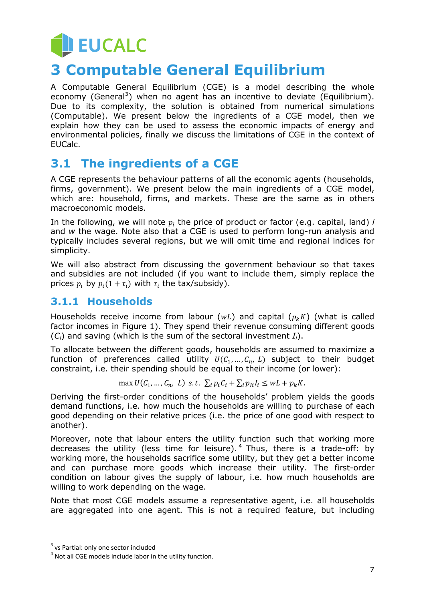## **JEUCALC 3 Computable General Equilibrium**

<span id="page-6-0"></span>A Computable General Equilibrium (CGE) is a model describing the whole economy (General<sup>3</sup>) when no agent has an incentive to deviate (Equilibrium). Due to its complexity, the solution is obtained from numerical simulations (Computable). We present below the ingredients of a CGE model, then we explain how they can be used to assess the economic impacts of energy and environmental policies, finally we discuss the limitations of CGE in the context of EUCalc.

#### <span id="page-6-1"></span>**3.1 The ingredients of a CGE**

A CGE represents the behaviour patterns of all the economic agents (households, firms, government). We present below the main ingredients of a CGE model, which are: household, firms, and markets. These are the same as in others macroeconomic models.

In the following, we will note  $p_i$  the price of product or factor (e.g. capital, land)  $i$ and *w* the wage. Note also that a CGE is used to perform long-run analysis and typically includes several regions, but we will omit time and regional indices for simplicity.

We will also abstract from discussing the government behaviour so that taxes and subsidies are not included (if you want to include them, simply replace the prices  $p_i$  by  $p_i(1 + \tau_i)$  with  $\tau_i$  the tax/subsidy).

#### <span id="page-6-2"></span>**3.1.1 Households**

Households receive income from labour ( $wL$ ) and capital ( $p_k K$ ) (what is called factor incomes in Figure 1). They spend their revenue consuming different goods (*Ci*) and saving (which is the sum of the sectoral investment *Ii*).

To allocate between the different goods, households are assumed to maximize a function of preferences called utility  $U(C_1, ..., C_n, L)$  subject to their budget constraint, i.e. their spending should be equal to their income (or lower):

max  $U(C_1, ..., C_n, L)$  s.t.  $\sum_i p_i C_i + \sum_i p_{i i} I_i \leq wL + p_k K$ .

Deriving the first-order conditions of the households' problem yields the goods demand functions, i.e. how much the households are willing to purchase of each good depending on their relative prices (i.e. the price of one good with respect to another).

Moreover, note that labour enters the utility function such that working more decreases the utility (less time for leisure).<sup>4</sup> Thus, there is a trade-off: by working more, the households sacrifice some utility, but they get a better income and can purchase more goods which increase their utility. The first-order condition on labour gives the supply of labour, i.e. how much households are willing to work depending on the wage.

Note that most CGE models assume a representative agent, i.e. all households are aggregated into one agent. This is not a required feature, but including

-

 $3$  vs Partial: only one sector included

 $<sup>4</sup>$  Not all CGE models include labor in the utility function.</sup>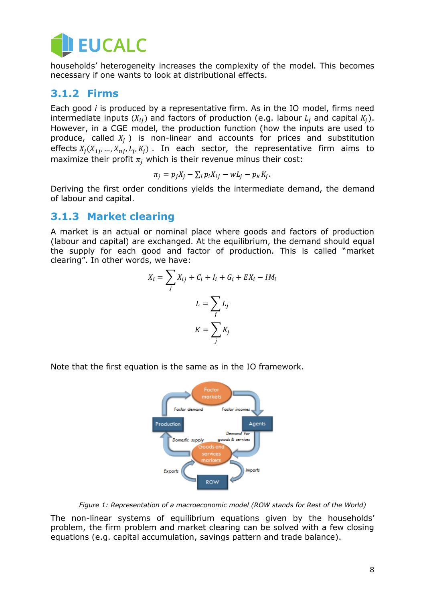

households' heterogeneity increases the complexity of the model. This becomes necessary if one wants to look at distributional effects.

#### <span id="page-7-0"></span>**3.1.2 Firms**

Each good *i* is produced by a representative firm. As in the IO model, firms need intermediate inputs  $(X_{ij})$  and factors of production (e.g. labour  $L_i$  and capital  $K_i$ ). However, in a CGE model, the production function (how the inputs are used to produce, called  $X_i$ ) is non-linear and accounts for prices and substitution effects  $X_j(X_{1j},...,X_{nj},L_j,K_j)$  . In each sector, the representative firm aims to maximize their profit  $\pi_i$  which is their revenue minus their cost:

$$
\pi_j = p_j X_j - \sum_i p_i X_{ij} - w L_j - p_K K_j.
$$

Deriving the first order conditions yields the intermediate demand, the demand of labour and capital.

#### <span id="page-7-1"></span>**3.1.3 Market clearing**

A market is an actual or nominal place where goods and factors of production (labour and capital) are exchanged. At the equilibrium, the demand should equal the supply for each good and factor of production. This is called "market clearing". In other words, we have:

$$
X_i = \sum_j X_{ij} + C_i + I_i + G_i + EX_i - IM_i
$$

$$
L = \sum_j L_j
$$

$$
K = \sum_j K_j
$$

Note that the first equation is the same as in the IO framework.



*Figure 1: Representation of a macroeconomic model (ROW stands for Rest of the World)*

The non-linear systems of equilibrium equations given by the households' problem, the firm problem and market clearing can be solved with a few closing equations (e.g. capital accumulation, savings pattern and trade balance).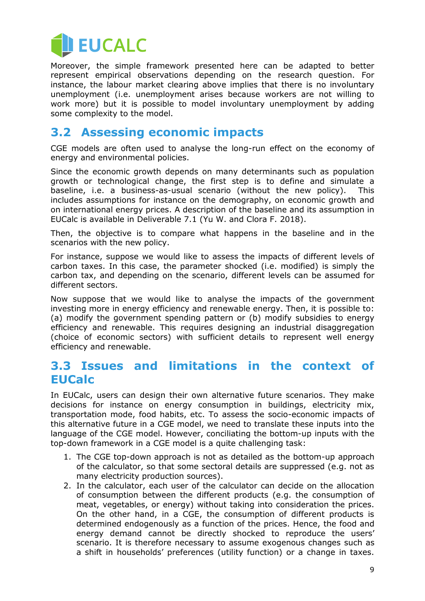

Moreover, the simple framework presented here can be adapted to better represent empirical observations depending on the research question. For instance, the labour market clearing above implies that there is no involuntary unemployment (i.e. unemployment arises because workers are not willing to work more) but it is possible to model involuntary unemployment by adding some complexity to the model.

#### <span id="page-8-0"></span>**3.2 Assessing economic impacts**

CGE models are often used to analyse the long-run effect on the economy of energy and environmental policies.

Since the economic growth depends on many determinants such as population growth or technological change, the first step is to define and simulate a baseline, i.e. a business-as-usual scenario (without the new policy). This includes assumptions for instance on the demography, on economic growth and on international energy prices. A description of the baseline and its assumption in EUCalc is available in Deliverable 7.1 (Yu W. and Clora F. 2018).

Then, the objective is to compare what happens in the baseline and in the scenarios with the new policy.

For instance, suppose we would like to assess the impacts of different levels of carbon taxes. In this case, the parameter shocked (i.e. modified) is simply the carbon tax, and depending on the scenario, different levels can be assumed for different sectors.

Now suppose that we would like to analyse the impacts of the government investing more in energy efficiency and renewable energy. Then, it is possible to: (a) modify the government spending pattern or (b) modify subsidies to energy efficiency and renewable. This requires designing an industrial disaggregation (choice of economic sectors) with sufficient details to represent well energy efficiency and renewable.

#### <span id="page-8-1"></span>**3.3 Issues and limitations in the context of EUCalc**

In EUCalc, users can design their own alternative future scenarios. They make decisions for instance on energy consumption in buildings, electricity mix, transportation mode, food habits, etc. To assess the socio-economic impacts of this alternative future in a CGE model, we need to translate these inputs into the language of the CGE model. However, conciliating the bottom-up inputs with the top-down framework in a CGE model is a quite challenging task:

- 1. The CGE top-down approach is not as detailed as the bottom-up approach of the calculator, so that some sectoral details are suppressed (e.g. not as many electricity production sources).
- 2. In the calculator, each user of the calculator can decide on the allocation of consumption between the different products (e.g. the consumption of meat, vegetables, or energy) without taking into consideration the prices. On the other hand, in a CGE, the consumption of different products is determined endogenously as a function of the prices. Hence, the food and energy demand cannot be directly shocked to reproduce the users' scenario. It is therefore necessary to assume exogenous changes such as a shift in households' preferences (utility function) or a change in taxes.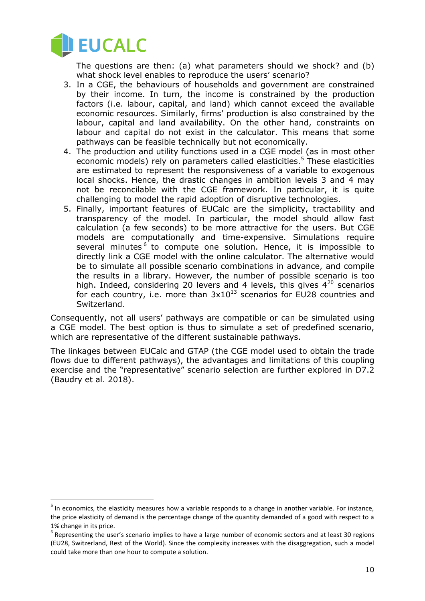

 $\overline{a}$ 

The questions are then: (a) what parameters should we shock? and (b) what shock level enables to reproduce the users' scenario?

- 3. In a CGE, the behaviours of households and government are constrained by their income. In turn, the income is constrained by the production factors (i.e. labour, capital, and land) which cannot exceed the available economic resources. Similarly, firms' production is also constrained by the labour, capital and land availability. On the other hand, constraints on labour and capital do not exist in the calculator. This means that some pathways can be feasible technically but not economically.
- 4. The production and utility functions used in a CGE model (as in most other economic models) rely on parameters called elasticities.<sup>5</sup> These elasticities are estimated to represent the responsiveness of a variable to exogenous local shocks. Hence, the drastic changes in ambition levels 3 and 4 may not be reconcilable with the CGE framework. In particular, it is quite challenging to model the rapid adoption of disruptive technologies.
- 5. Finally, important features of EUCalc are the simplicity, tractability and transparency of the model. In particular, the model should allow fast calculation (a few seconds) to be more attractive for the users. But CGE models are computationally and time-expensive. Simulations require several minutes<sup>6</sup> to compute one solution. Hence, it is impossible to directly link a CGE model with the online calculator. The alternative would be to simulate all possible scenario combinations in advance, and compile the results in a library. However, the number of possible scenario is too high. Indeed, considering 20 levers and 4 levels, this gives  $4^{20}$  scenarios for each country, i.e. more than  $3x10^{13}$  scenarios for EU28 countries and Switzerland.

Consequently, not all users' pathways are compatible or can be simulated using a CGE model. The best option is thus to simulate a set of predefined scenario, which are representative of the different sustainable pathways.

The linkages between EUCalc and GTAP (the CGE model used to obtain the trade flows due to different pathways), the advantages and limitations of this coupling exercise and the "representative" scenario selection are further explored in D7.2 (Baudry et al. 2018).

<sup>&</sup>lt;sup>5</sup> In economics, the elasticity measures how a variable responds to a change in another variable. For instance, the price elasticity of demand is the percentage change of the quantity demanded of a good with respect to a 1% change in its price.

 $<sup>6</sup>$  Representing the user's scenario implies to have a large number of economic sectors and at least 30 regions</sup> (EU28, Switzerland, Rest of the World). Since the complexity increases with the disaggregation, such a model could take more than one hour to compute a solution.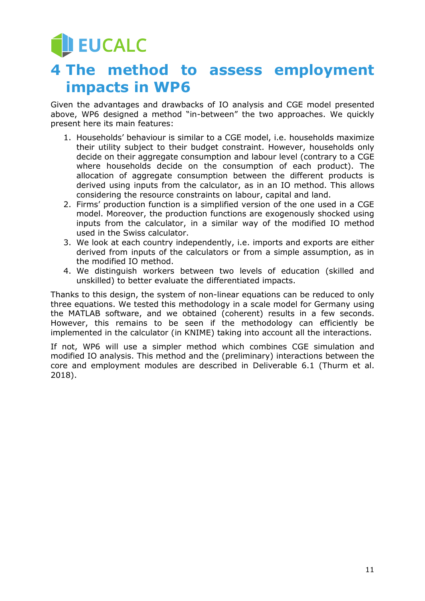## **DEUCALC**

### <span id="page-10-0"></span>**4 The method to assess employment impacts in WP6**

Given the advantages and drawbacks of IO analysis and CGE model presented above, WP6 designed a method "in-between" the two approaches. We quickly present here its main features:

- 1. Households' behaviour is similar to a CGE model, i.e. households maximize their utility subject to their budget constraint. However, households only decide on their aggregate consumption and labour level (contrary to a CGE where households decide on the consumption of each product). The allocation of aggregate consumption between the different products is derived using inputs from the calculator, as in an IO method. This allows considering the resource constraints on labour, capital and land.
- 2. Firms' production function is a simplified version of the one used in a CGE model. Moreover, the production functions are exogenously shocked using inputs from the calculator, in a similar way of the modified IO method used in the Swiss calculator.
- 3. We look at each country independently, i.e. imports and exports are either derived from inputs of the calculators or from a simple assumption, as in the modified IO method.
- 4. We distinguish workers between two levels of education (skilled and unskilled) to better evaluate the differentiated impacts.

Thanks to this design, the system of non-linear equations can be reduced to only three equations. We tested this methodology in a scale model for Germany using the MATLAB software, and we obtained (coherent) results in a few seconds. However, this remains to be seen if the methodology can efficiently be implemented in the calculator (in KNIME) taking into account all the interactions.

If not, WP6 will use a simpler method which combines CGE simulation and modified IO analysis. This method and the (preliminary) interactions between the core and employment modules are described in Deliverable 6.1 (Thurm et al. 2018).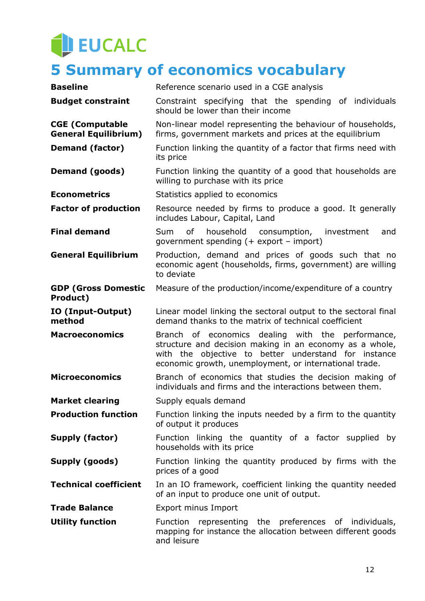## EUCALC

## <span id="page-11-0"></span>**5 Summary of economics vocabulary**

| <b>Baseline</b>                                       | Reference scenario used in a CGE analysis                                                                                                                                                                                      |  |  |  |
|-------------------------------------------------------|--------------------------------------------------------------------------------------------------------------------------------------------------------------------------------------------------------------------------------|--|--|--|
| <b>Budget constraint</b>                              | Constraint specifying that the spending of individuals<br>should be lower than their income                                                                                                                                    |  |  |  |
| <b>CGE (Computable</b><br><b>General Equilibrium)</b> | Non-linear model representing the behaviour of households,<br>firms, government markets and prices at the equilibrium                                                                                                          |  |  |  |
| <b>Demand (factor)</b>                                | Function linking the quantity of a factor that firms need with<br>its price                                                                                                                                                    |  |  |  |
| Demand (goods)                                        | Function linking the quantity of a good that households are<br>willing to purchase with its price                                                                                                                              |  |  |  |
| <b>Econometrics</b>                                   | Statistics applied to economics                                                                                                                                                                                                |  |  |  |
| <b>Factor of production</b>                           | Resource needed by firms to produce a good. It generally<br>includes Labour, Capital, Land                                                                                                                                     |  |  |  |
| <b>Final demand</b>                                   | of<br>household<br>consumption, investment<br>Sum<br>and<br>government spending $(+)$ export - import)                                                                                                                         |  |  |  |
| <b>General Equilibrium</b>                            | Production, demand and prices of goods such that no<br>economic agent (households, firms, government) are willing<br>to deviate                                                                                                |  |  |  |
| <b>GDP (Gross Domestic</b><br>Product)                | Measure of the production/income/expenditure of a country                                                                                                                                                                      |  |  |  |
| IO (Input-Output)<br>method                           | Linear model linking the sectoral output to the sectoral final<br>demand thanks to the matrix of technical coefficient                                                                                                         |  |  |  |
| <b>Macroeconomics</b>                                 | Branch of economics dealing with the performance,<br>structure and decision making in an economy as a whole,<br>with the objective to better understand for instance<br>economic growth, unemployment, or international trade. |  |  |  |
| <b>Microeconomics</b>                                 | Branch of economics that studies the decision making of<br>individuals and firms and the interactions between them.                                                                                                            |  |  |  |
| <b>Market clearing</b>                                | Supply equals demand                                                                                                                                                                                                           |  |  |  |
| <b>Production function</b>                            | Function linking the inputs needed by a firm to the quantity<br>of output it produces                                                                                                                                          |  |  |  |
| Supply (factor)                                       | Function linking the quantity of a factor supplied by<br>households with its price                                                                                                                                             |  |  |  |
| Supply (goods)                                        | Function linking the quantity produced by firms with the<br>prices of a good                                                                                                                                                   |  |  |  |
| <b>Technical coefficient</b>                          | In an IO framework, coefficient linking the quantity needed<br>of an input to produce one unit of output.                                                                                                                      |  |  |  |
| <b>Trade Balance</b>                                  | Export minus Import                                                                                                                                                                                                            |  |  |  |
| <b>Utility function</b>                               | Function representing the preferences of individuals,<br>mapping for instance the allocation between different goods<br>and leisure                                                                                            |  |  |  |